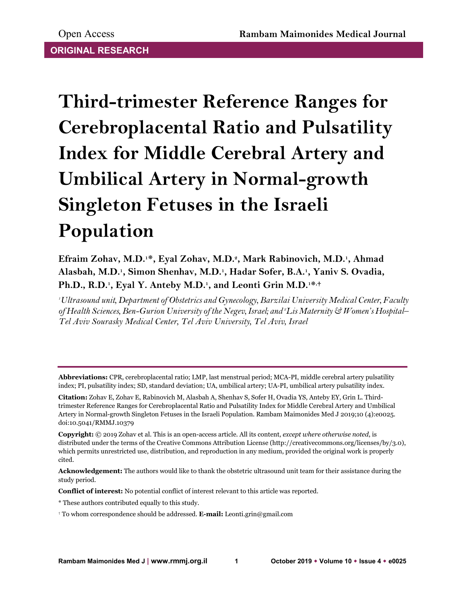**Third-trimester Reference Ranges for Cerebroplacental Ratio and Pulsatility Index for Middle Cerebral Artery and Umbilical Artery in Normal-growth Singleton Fetuses in the Israeli Population**

**Efraim Zohav, M.D.1\*, Eyal Zohav, M.D.2, Mark Rabinovich, M.D.1, Ahmad Alasbah, M.D.1, Simon Shenhav, M.D.1, Hadar Sofer, B.A.1, Yaniv S. Ovadia,**  Ph.D., R.D.<sup>1</sup>, Eyal Y. Anteby M.D.<sup>1</sup>, and Leonti Grin M.D.<sup>1\*,+</sup>

*1 Ultrasound unit, Department of Obstetrics and Gynecology, Barzilai University Medical Center, Faculty of Health Sciences, Ben-Gurion University of the Negev, Israel; and 2 Lis Maternity & Women's Hospital– Tel Aviv Sourasky Medical Center, Tel Aviv University, Tel Aviv, Israel*

**Abbreviations:** CPR, cerebroplacental ratio; LMP, last menstrual period; MCA-PI, middle cerebral artery pulsatility index; PI, pulsatility index; SD, standard deviation; UA, umbilical artery; UA-PI, umbilical artery pulsatility index.

**Acknowledgement:** The authors would like to thank the obstetric ultrasound unit team for their assistance during the study period.

**Conflict of interest:** No potential conflict of interest relevant to this article was reported.

\* These authors contributed equally to this study.

**Citation:** Zohav E, Zohav E, Rabinovich M, Alasbah A, Shenhav S, Sofer H, Ovadia YS, Anteby EY, Grin L. Thirdtrimester Reference Ranges for Cerebroplacental Ratio and Pulsatility Index for Middle Cerebral Artery and Umbilical Artery in Normal-growth Singleton Fetuses in the Israeli Population. Rambam Maimonides Med J 2019;10 (4):e0025. doi:10.5041/RMMJ.10379

**Copyright:** © 2019 Zohav et al. This is an open-access article. All its content, *except where otherwise noted*, is distributed under the terms of the Creative Commons Attribution License (http://creativecommons.org/licenses/by/3.0), which permits unrestricted use, distribution, and reproduction in any medium, provided the original work is properly cited.

<sup>†</sup> To whom correspondence should be addressed. **E-mail:** Leonti.grin@gmail.com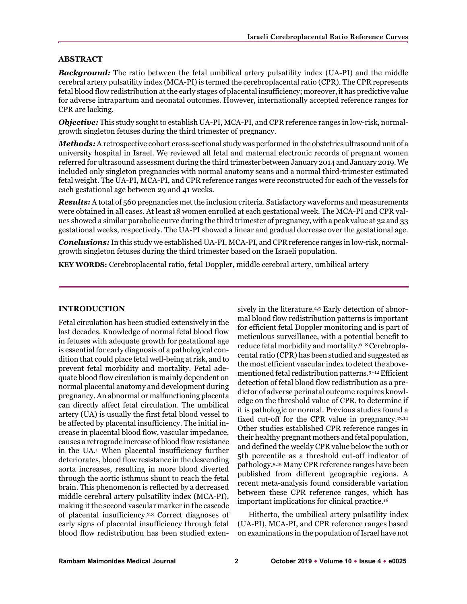# **ABSTRACT**

*Background:* The ratio between the fetal umbilical artery pulsatility index (UA-PI) and the middle cerebral artery pulsatility index (MCA-PI) is termed the cerebroplacental ratio (CPR). The CPR represents fetal blood flow redistribution at the early stages of placental insufficiency; moreover, it has predictive value for adverse intrapartum and neonatal outcomes. However, internationally accepted reference ranges for CPR are lacking.

*Objective:* This study sought to establish UA-PI, MCA-PI, and CPR reference ranges in low-risk, normalgrowth singleton fetuses during the third trimester of pregnancy.

*Methods:* A retrospective cohort cross-sectional study was performed in the obstetrics ultrasound unit of a university hospital in Israel. We reviewed all fetal and maternal electronic records of pregnant women referred for ultrasound assessment during the third trimester between January 2014 and January 2019. We included only singleton pregnancies with normal anatomy scans and a normal third-trimester estimated fetal weight. The UA-PI, MCA-PI, and CPR reference ranges were reconstructed for each of the vessels for each gestational age between 29 and 41 weeks.

*Results:* A total of 560 pregnancies met the inclusion criteria. Satisfactory waveforms and measurements were obtained in all cases. At least 18 women enrolled at each gestational week. The MCA-PI and CPR values showed a similar parabolic curve during the third trimester of pregnancy, with a peak value at 32 and 33 gestational weeks, respectively. The UA-PI showed a linear and gradual decrease over the gestational age.

*Conclusions:* In this study we established UA-PI, MCA-PI, and CPR reference ranges in low-risk, normalgrowth singleton fetuses during the third trimester based on the Israeli population.

**KEY WORDS:** Cerebroplacental ratio, fetal Doppler, middle cerebral artery, umbilical artery

# **INTRODUCTION**

Fetal circulation has been studied extensively in the last decades. Knowledge of normal fetal blood flow in fetuses with adequate growth for gestational age is essential for early diagnosis of a pathological condition that could place fetal well-being at risk, and to prevent fetal morbidity and mortality. Fetal adequate blood flow circulation is mainly dependent on normal placental anatomy and development during pregnancy. An abnormal or malfunctioning placenta can directly affect fetal circulation. The umbilical artery (UA) is usually the first fetal blood vessel to be affected by placental insufficiency. The initial increase in placental blood flow, vascular impedance, causes a retrograde increase of blood flow resistance in the UA.1 When placental insufficiency further deteriorates, blood flow resistance in the descending aorta increases, resulting in more blood diverted through the aortic isthmus shunt to reach the fetal brain. This phenomenon is reflected by a decreased middle cerebral artery pulsatility index (MCA-PI), making it the second vascular marker in the cascade of placental insufficiency.2,3 Correct diagnoses of early signs of placental insufficiency through fetal blood flow redistribution has been studied exten-

sively in the literature.<sup>4,5</sup> Early detection of abnormal blood flow redistribution patterns is important for efficient fetal Doppler monitoring and is part of meticulous surveillance, with a potential benefit to reduce fetal morbidity and mortality.<sup>6–8</sup> Cerebroplacental ratio (CPR) has been studied and suggested as the most efficient vascular index to detect the abovementioned fetal redistribution patterns.<sup>9-12</sup> Efficient detection of fetal blood flow redistribution as a predictor of adverse perinatal outcome requires knowledge on the threshold value of CPR, to determine if it is pathologic or normal. Previous studies found a fixed cut-off for the CPR value in pregnancy.13,14 Other studies established CPR reference ranges in their healthy pregnant mothers and fetal population, and defined the weekly CPR value below the 10th or 5th percentile as a threshold cut-off indicator of pathology.5,15 Many CPR reference ranges have been published from different geographic regions. A recent meta-analysis found considerable variation between these CPR reference ranges, which has important implications for clinical practice.16

Hitherto, the umbilical artery pulsatility index (UA-PI), MCA-PI, and CPR reference ranges based on examinations in the population of Israel have not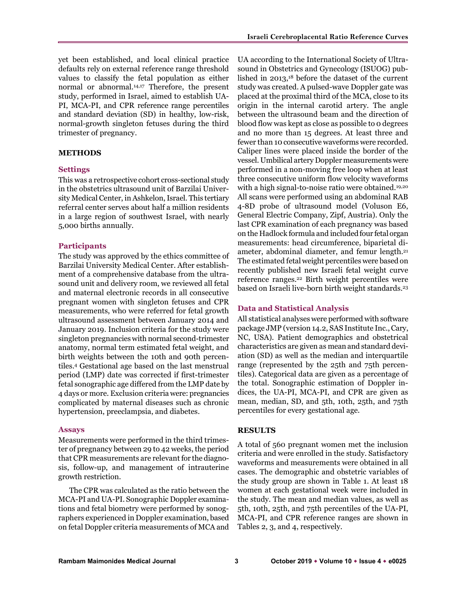yet been established, and local clinical practice defaults rely on external reference range threshold values to classify the fetal population as either normal or abnormal.14,17 Therefore, the present study, performed in Israel, aimed to establish UA-PI, MCA-PI, and CPR reference range percentiles and standard deviation (SD) in healthy, low-risk, normal-growth singleton fetuses during the third trimester of pregnancy.

# **METHODS**

#### **Settings**

This was a retrospective cohort cross-sectional study in the obstetrics ultrasound unit of Barzilai University Medical Center, in Ashkelon, Israel. This tertiary referral center serves about half a million residents in a large region of southwest Israel, with nearly 5,000 births annually.

### **Participants**

The study was approved by the ethics committee of Barzilai University Medical Center. After establishment of a comprehensive database from the ultrasound unit and delivery room, we reviewed all fetal and maternal electronic records in all consecutive pregnant women with singleton fetuses and CPR measurements, who were referred for fetal growth ultrasound assessment between January 2014 and January 2019. Inclusion criteria for the study were singleton pregnancies with normal second-trimester anatomy, normal term estimated fetal weight, and birth weights between the 10th and 90th percentiles.4 Gestational age based on the last menstrual period (LMP) date was corrected if first-trimester fetal sonographic age differed from the LMP date by 4 days or more. Exclusion criteria were: pregnancies complicated by maternal diseases such as chronic hypertension, preeclampsia, and diabetes.

#### **Assays**

Measurements were performed in the third trimester of pregnancy between 29 to 42 weeks, the period that CPR measurements are relevant for the diagnosis, follow-up, and management of intrauterine growth restriction.

The CPR was calculated as the ratio between the MCA-PI and UA-PI. Sonographic Doppler examinations and fetal biometry were performed by sonographers experienced in Doppler examination, based on fetal Doppler criteria measurements of MCA and

UA according to the International Society of Ultrasound in Obstetrics and Gynecology (ISUOG) published in 2013,18 before the dataset of the current study was created. A pulsed-wave Doppler gate was placed at the proximal third of the MCA, close to its origin in the internal carotid artery. The angle between the ultrasound beam and the direction of blood flow was kept as close as possible to 0 degrees and no more than 15 degrees. At least three and fewer than 10 consecutive waveforms were recorded. Caliper lines were placed inside the border of the vessel. Umbilical artery Doppler measurements were performed in a non-moving free loop when at least three consecutive uniform flow velocity waveforms with a high signal-to-noise ratio were obtained.<sup>19,20</sup> All scans were performed using an abdominal RAB 4-8D probe of ultrasound model (Voluson E6, General Electric Company, Zipf, Austria). Only the last CPR examination of each pregnancy was based on the Hadlock formula and included four fetal organ measurements: head circumference, biparietal diameter, abdominal diameter, and femur length.21 The estimated fetal weight percentiles were based on recently published new Israeli fetal weight curve reference ranges.22 Birth weight percentiles were based on Israeli live-born birth weight standards.<sup>23</sup>

### **Data and Statistical Analysis**

All statistical analyses were performed with software package JMP (version 14.2, SAS Institute Inc., Cary, NC, USA). Patient demographics and obstetrical characteristics are given as mean and standard deviation (SD) as well as the median and interquartile range (represented by the 25th and 75th percentiles). Categorical data are given as a percentage of the total. Sonographic estimation of Doppler indices, the UA-PI, MCA-PI, and CPR are given as mean, median, SD, and 5th, 10th, 25th, and 75th percentiles for every gestational age.

### **RESULTS**

A total of 560 pregnant women met the inclusion criteria and were enrolled in the study. Satisfactory waveforms and measurements were obtained in all cases. The demographic and obstetric variables of the study group are shown in Table 1. At least 18 women at each gestational week were included in the study. The mean and median values, as well as 5th, 10th, 25th, and 75th percentiles of the UA-PI, MCA-PI, and CPR reference ranges are shown in Tables 2, 3, and 4, respectively.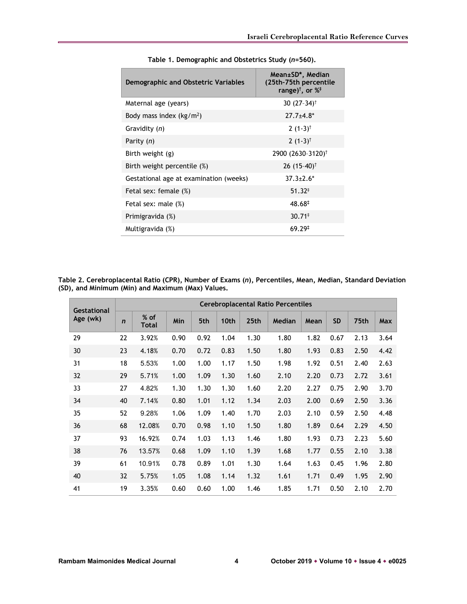| Demographic and Obstetric Variables    | Mean±SD*, Median<br>(25th-75th percentile<br>range) <sup>†</sup> , or $\%^{\ddagger}$ |
|----------------------------------------|---------------------------------------------------------------------------------------|
| Maternal age (years)                   | 30 $(27-34)$ <sup>†</sup>                                                             |
| Body mass index $(kg/m^2)$             | $27.7 + 4.8*$                                                                         |
| Gravidity (n)                          | $2(1-3)^{\dagger}$                                                                    |
| Parity (n)                             | 2 $(1-3)^{\dagger}$                                                                   |
| Birth weight (g)                       | 2900 (2630-3120) <sup>†</sup>                                                         |
| Birth weight percentile (%)            | 26 $(15-40)^{\dagger}$                                                                |
| Gestational age at examination (weeks) | $37.3 \pm 2.6^*$                                                                      |
| Fetal sex: female (%)                  | $51.32^+$                                                                             |
| Fetal sex: male (%)                    | 48.68‡                                                                                |
| Primigravida (%)                       | $30.71*$                                                                              |
| Multigravida (%)                       | 69.29 <sup>†</sup>                                                                    |

**Table 1. Demographic and Obstetrics Study (***n***=560).**

**Table 2. Cerebroplacental Ratio (CPR), Number of Exams (***n***), Percentiles, Mean, Median, Standard Deviation (SD), and Minimum (Min) and Maximum (Max) Values.**

| <b>Gestational</b> | <b>Cerebroplacental Ratio Percentiles</b> |                      |      |      |      |      |        |      |           |      |            |
|--------------------|-------------------------------------------|----------------------|------|------|------|------|--------|------|-----------|------|------------|
| Age (wk)           | $\mathbf n$                               | % of<br><b>Total</b> | Min  | 5th  | 10th | 25th | Median | Mean | <b>SD</b> | 75th | <b>Max</b> |
| 29                 | 22                                        | 3.92%                | 0.90 | 0.92 | 1.04 | 1.30 | 1.80   | 1.82 | 0.67      | 2.13 | 3.64       |
| 30                 | 23                                        | 4.18%                | 0.70 | 0.72 | 0.83 | 1.50 | 1.80   | 1.93 | 0.83      | 2.50 | 4.42       |
| 31                 | 18                                        | 5.53%                | 1.00 | 1.00 | 1.17 | 1.50 | 1.98   | 1.92 | 0.51      | 2.40 | 2.63       |
| 32                 | 29                                        | 5.71%                | 1.00 | 1.09 | 1.30 | 1.60 | 2.10   | 2.20 | 0.73      | 2.72 | 3.61       |
| 33                 | 27                                        | 4.82%                | 1.30 | 1.30 | 1.30 | 1.60 | 2.20   | 2.27 | 0.75      | 2.90 | 3.70       |
| 34                 | 40                                        | 7.14%                | 0.80 | 1.01 | 1.12 | 1.34 | 2.03   | 2.00 | 0.69      | 2.50 | 3.36       |
| 35                 | 52                                        | 9.28%                | 1.06 | 1.09 | 1.40 | 1.70 | 2.03   | 2.10 | 0.59      | 2.50 | 4.48       |
| 36                 | 68                                        | 12.08%               | 0.70 | 0.98 | 1.10 | 1.50 | 1.80   | 1.89 | 0.64      | 2.29 | 4.50       |
| 37                 | 93                                        | 16.92%               | 0.74 | 1.03 | 1.13 | 1.46 | 1.80   | 1.93 | 0.73      | 2.23 | 5.60       |
| 38                 | 76                                        | 13.57%               | 0.68 | 1.09 | 1.10 | 1.39 | 1.68   | 1.77 | 0.55      | 2.10 | 3.38       |
| 39                 | 61                                        | 10.91%               | 0.78 | 0.89 | 1.01 | 1.30 | 1.64   | 1.63 | 0.45      | 1.96 | 2.80       |
| 40                 | 32                                        | 5.75%                | 1.05 | 1.08 | 1.14 | 1.32 | 1.61   | 1.71 | 0.49      | 1.95 | 2.90       |
| 41                 | 19                                        | 3.35%                | 0.60 | 0.60 | 1.00 | 1.46 | 1.85   | 1.71 | 0.50      | 2.10 | 2.70       |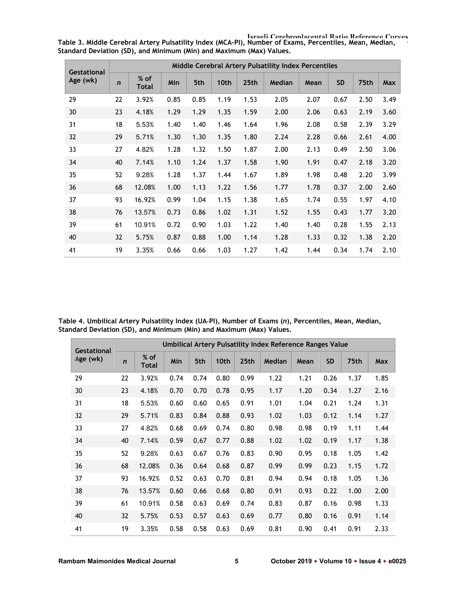| <b>Gestational</b> | Middle Cerebral Artery Pulsatility Index Percentiles |                 |      |      |      |      |        |      |           |      |      |  |
|--------------------|------------------------------------------------------|-----------------|------|------|------|------|--------|------|-----------|------|------|--|
| Age (wk)           | $\mathbf n$                                          | $%$ of<br>Total | Min  | 5th  | 10th | 25th | Median | Mean | <b>SD</b> | 75th | Max  |  |
| 29                 | 22                                                   | 3.92%           | 0.85 | 0.85 | 1.19 | 1.53 | 2.05   | 2.07 | 0.67      | 2.50 | 3.49 |  |
| 30                 | 23                                                   | 4.18%           | 1.29 | 1.29 | 1.35 | 1.59 | 2.00   | 2.06 | 0.63      | 2.19 | 3.60 |  |
| 31                 | 18                                                   | 5.53%           | 1.40 | 1.40 | 1.46 | 1.64 | 1.96   | 2.08 | 0.58      | 2.39 | 3.29 |  |
| 32                 | 29                                                   | 5.71%           | 1.30 | 1.30 | 1.35 | 1.80 | 2.24   | 2.28 | 0.66      | 2.61 | 4.00 |  |
| 33                 | 27                                                   | 4.82%           | 1.28 | 1.32 | 1.50 | 1.87 | 2.00   | 2.13 | 0.49      | 2.50 | 3.06 |  |
| 34                 | 40                                                   | 7.14%           | 1.10 | 1.24 | 1.37 | 1.58 | 1.90   | 1.91 | 0.47      | 2.18 | 3.20 |  |
| 35                 | 52                                                   | 9.28%           | 1.28 | 1.37 | 1.44 | 1.67 | 1.89   | 1.98 | 0.48      | 2.20 | 3.99 |  |
| 36                 | 68                                                   | 12.08%          | 1.00 | 1.13 | 1.22 | 1.56 | 1.77   | 1.78 | 0.37      | 2.00 | 2.60 |  |
| 37                 | 93                                                   | 16.92%          | 0.99 | 1.04 | 1.15 | 1.38 | 1.65   | 1.74 | 0.55      | 1.97 | 4.10 |  |
| 38                 | 76                                                   | 13.57%          | 0.73 | 0.86 | 1.02 | 1.31 | 1.52   | 1.55 | 0.43      | 1.77 | 3.20 |  |
| 39                 | 61                                                   | 10.91%          | 0.72 | 0.90 | 1.03 | 1.22 | 1.40   | 1.40 | 0.28      | 1.55 | 2.13 |  |
| 40                 | 32                                                   | 5.75%           | 0.87 | 0.88 | 1.00 | 1.14 | 1.28   | 1.33 | 0.32      | 1.38 | 2.20 |  |
| 41                 | 19                                                   | 3.35%           | 0.66 | 0.66 | 1.03 | 1.27 | 1.42   | 1.44 | 0.34      | 1.74 | 2.10 |  |

**Israeli Cerebroplacental Ratio Reference Curves Table 3. Middle Cerebral Artery Pulsatility Index (MCA-PI), Number of Exams, Percentiles, Mean, Median, Standard Deviation (SD), and Minimum (Min) and Maximum (Max) Values.**

**Table 4. Umbilical Artery Pulsatility Index (UA**-**PI), Number of Exams (***n***), Percentiles, Mean, Median, Standard Deviation (SD), and Minimum (Min) and Maximum (Max) Values.**

| <b>Gestational</b> | Umbilical Artery Pulsatility Index Reference Ranges Value |                 |            |      |      |      |        |      |           |      |      |
|--------------------|-----------------------------------------------------------|-----------------|------------|------|------|------|--------|------|-----------|------|------|
| Age (wk)           | $\mathbf n$                                               | $%$ of<br>Total | <b>Min</b> | 5th  | 10th | 25th | Median | Mean | <b>SD</b> | 75th | Max  |
| 29                 | 22                                                        | 3.92%           | 0.74       | 0.74 | 0.80 | 0.99 | 1.22   | 1.21 | 0.26      | 1.37 | 1.85 |
| 30                 | 23                                                        | 4.18%           | 0.70       | 0.70 | 0.78 | 0.95 | 1.17   | 1.20 | 0.34      | 1.27 | 2.16 |
| 31                 | 18                                                        | 5.53%           | 0.60       | 0.60 | 0.65 | 0.91 | 1.01   | 1.04 | 0.21      | 1.24 | 1.31 |
| 32                 | 29                                                        | 5.71%           | 0.83       | 0.84 | 0.88 | 0.93 | 1.02   | 1.03 | 0.12      | 1.14 | 1.27 |
| 33                 | 27                                                        | 4.82%           | 0.68       | 0.69 | 0.74 | 0.80 | 0.98   | 0.98 | 0.19      | 1.11 | 1.44 |
| 34                 | 40                                                        | 7.14%           | 0.59       | 0.67 | 0.77 | 0.88 | 1.02   | 1.02 | 0.19      | 1.17 | 1.38 |
| 35                 | 52                                                        | 9.28%           | 0.63       | 0.67 | 0.76 | 0.83 | 0.90   | 0.95 | 0.18      | 1.05 | 1.42 |
| 36                 | 68                                                        | 12.08%          | 0.36       | 0.64 | 0.68 | 0.87 | 0.99   | 0.99 | 0.23      | 1.15 | 1.72 |
| 37                 | 93                                                        | 16.92%          | 0.52       | 0.63 | 0.70 | 0.81 | 0.94   | 0.94 | 0.18      | 1.05 | 1.36 |
| 38                 | 76                                                        | 13.57%          | 0.60       | 0.66 | 0.68 | 0.80 | 0.91   | 0.93 | 0.22      | 1.00 | 2.00 |
| 39                 | 61                                                        | 10.91%          | 0.58       | 0.63 | 0.69 | 0.74 | 0.83   | 0.87 | 0.16      | 0.98 | 1.33 |
| 40                 | 32                                                        | 5.75%           | 0.53       | 0.57 | 0.63 | 0.69 | 0.77   | 0.80 | 0.16      | 0.91 | 1.14 |
| 41                 | 19                                                        | 3.35%           | 0.58       | 0.58 | 0.63 | 0.69 | 0.81   | 0.90 | 0.41      | 0.91 | 2.33 |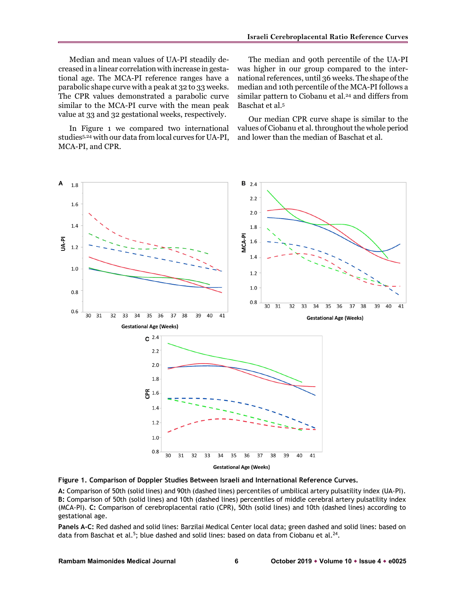Median and mean values of UA-PI steadily decreased in a linear correlation with increase in gestational age. The MCA-PI reference ranges have a parabolic shape curve with a peak at 32 to 33 weeks. The CPR values demonstrated a parabolic curve similar to the MCA-PI curve with the mean peak value at 33 and 32 gestational weeks, respectively.

In Figure 1 we compared two international studies5,24 with our data from local curves for UA-PI, MCA-PI, and CPR.

The median and 90th percentile of the UA-PI was higher in our group compared to the international references, until 36 weeks. The shape of the median and 10th percentile of the MCA-PI follows a similar pattern to Ciobanu et al.<sup>24</sup> and differs from Baschat et al.5

Our median CPR curve shape is similar to the values of Ciobanu et al. throughout the whole period and lower than the median of Baschat et al.



**Figure 1. Comparison of Doppler Studies Between Israeli and International Reference Curves.**

**A:** Comparison of 50th (solid lines) and 90th (dashed lines) percentiles of umbilical artery pulsatility index (UA-PI). **B:** Comparison of 50th (solid lines) and 10th (dashed lines) percentiles of middle cerebral artery pulsatility index (MCA-PI). **C:** Comparison of cerebroplacental ratio (CPR), 50th (solid lines) and 10th (dashed lines) according to gestational age.

**Panels A-C:** Red dashed and solid lines: Barzilai Medical Center local data; green dashed and solid lines: based on data from Baschat et al.<sup>5</sup>; blue dashed and solid lines: based on data from Ciobanu et al.<sup>24</sup>.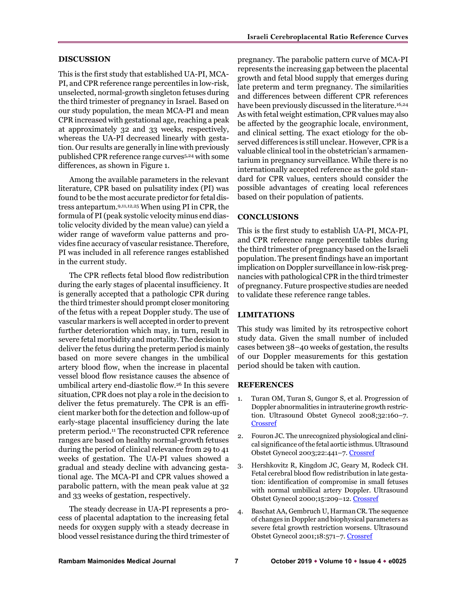# **DISCUSSION**

This is the first study that established UA-PI, MCA-PI, and CPR reference range percentiles in low-risk, unselected, normal-growth singleton fetuses during the third trimester of pregnancy in Israel. Based on our study population, the mean MCA-PI and mean CPR increased with gestational age, reaching a peak at approximately 32 and 33 weeks, respectively, whereas the UA-PI decreased linearly with gestation. Our results are generally in line with previously published CPR reference range curves5,24 with some differences, as shown in Figure 1.

Among the available parameters in the relevant literature, CPR based on pulsatility index (PI) was found to be the most accurate predictor for fetal distress antepartum.9,11,12,25 When using PI in CPR, the formula of PI (peak systolic velocity minus end diastolic velocity divided by the mean value) can yield a wider range of waveform value patterns and provides fine accuracy of vascular resistance.Therefore, PI was included in all reference ranges established in the current study.

The CPR reflects fetal blood flow redistribution during the early stages of placental insufficiency. It is generally accepted that a pathologic CPR during the third trimester should prompt closer monitoring of the fetus with a repeat Doppler study. The use of vascular markers is well accepted in order to prevent further deterioration which may, in turn, result in severe fetal morbidity and mortality. The decision to deliver the fetus during the preterm period is mainly based on more severe changes in the umbilical artery blood flow, when the increase in placental vessel blood flow resistance causes the absence of umbilical artery end-diastolic flow.26 In this severe situation, CPR does not play a role in the decision to deliver the fetus prematurely. The CPR is an efficient marker both for the detection and follow-up of early-stage placental insufficiency during the late preterm period.11 The reconstructed CPR reference ranges are based on healthy normal-growth fetuses during the period of clinical relevance from 29 to 41 weeks of gestation. The UA-PI values showed a gradual and steady decline with advancing gestational age. The MCA-PI and CPR values showed a parabolic pattern, with the mean peak value at 32 and 33 weeks of gestation, respectively.

The steady decrease in UA-PI represents a process of placental adaptation to the increasing fetal needs for oxygen supply with a steady decrease in blood vessel resistance during the third trimester of

pregnancy. The parabolic pattern curve of MCA-PI represents the increasing gap between the placental growth and fetal blood supply that emerges during late preterm and term pregnancy. The similarities and differences between different CPR references have been previously discussed in the literature.<sup>16,24</sup> As with fetal weight estimation, CPR values may also be affected by the geographic locale, environment, and clinical setting. The exact etiology for the observed differences is still unclear. However, CPR is a valuable clinical tool in the obstetrician's armamentarium in pregnancy surveillance. While there is no internationally accepted reference as the gold standard for CPR values, centers should consider the possible advantages of creating local references based on their population of patients.

### **CONCLUSIONS**

This is the first study to establish UA-PI, MCA-PI, and CPR reference range percentile tables during the third trimester of pregnancy based on the Israeli population. The present findings have an important implication on Doppler surveillance in low-risk pregnancies with pathological CPR in the third trimester of pregnancy. Future prospective studies are needed to validate these reference range tables.

# **LIMITATIONS**

This study was limited by its retrospective cohort study data. Given the small number of included cases between 38–40 weeks of gestation, the results of our Doppler measurements for this gestation period should be taken with caution.

#### **REFERENCES**

- 1. Turan OM, Turan S, Gungor S, et al. Progression of Doppler abnormalities in intrauterine growth restriction. Ultrasound Obstet Gynecol 2008;32:160-7. **[Crossref](https://doi.org/10.1002/uog.5386)**
- 2. Fouron JC. The unrecognized physiological and clinical significance of the fetal aortic isthmus. Ultrasound Obstet Gynecol 2003;22:441–7. [Crossref](https://doi.org/10.1002/uog.911)
- 3. Hershkovitz R, Kingdom JC, Geary M, Rodeck CH. Fetal cerebral blood flow redistribution in late gestation: identification of compromise in small fetuses with normal umbilical artery Doppler. Ultrasound Obstet Gynecol 2000;15:209–12. [Crossref](https://doi.org/10.1046/j.1469-0705.2000.00079.x)
- 4. Baschat AA, Gembruch U, Harman CR. The sequence of changes in Doppler and biophysical parameters as severe fetal growth restriction worsens. Ultrasound Obstet Gynecol 2001;18:571–7[. Crossref](https://doi.org/10.1046/j.0960-7692.2001.00591.x)